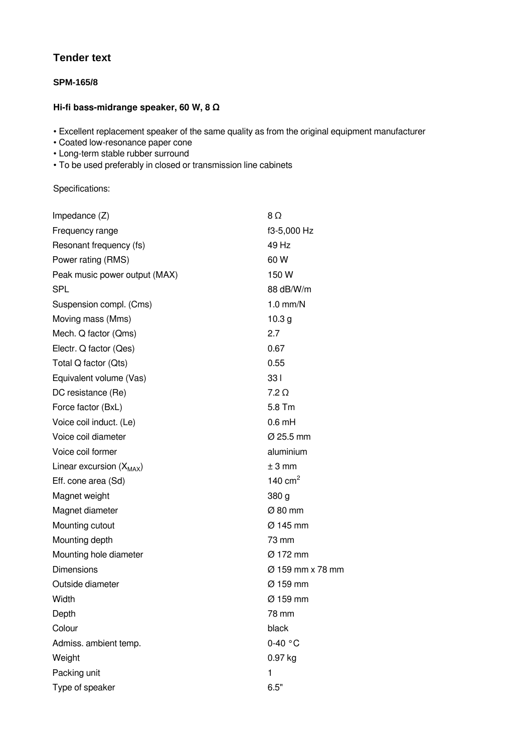## **Tender text**

## **SPM-165/8**

## **Hi-fi bass-midrange speaker, 60 W, 8 Ω**

• Excellent replacement speaker of the same quality as from the original equipment manufacturer

- Coated low-resonance paper cone
- Long-term stable rubber surround
- To be used preferably in closed or transmission line cabinets

Specifications:

| Impedance $(Z)$               | $8\Omega$            |
|-------------------------------|----------------------|
| Frequency range               | f3-5,000 Hz          |
| Resonant frequency (fs)       | 49 Hz                |
| Power rating (RMS)            | 60 W                 |
| Peak music power output (MAX) | 150 W                |
| <b>SPL</b>                    | 88 dB/W/m            |
| Suspension compl. (Cms)       | $1.0$ mm/N           |
| Moving mass (Mms)             | 10.3 <sub>g</sub>    |
| Mech. Q factor (Qms)          | 2.7                  |
| Electr. Q factor (Qes)        | 0.67                 |
| Total Q factor (Qts)          | 0.55                 |
| Equivalent volume (Vas)       | 33 I                 |
| DC resistance (Re)            | $7.2 \Omega$         |
| Force factor (BxL)            | 5.8 Tm               |
| Voice coil induct. (Le)       | $0.6 \text{ mH}$     |
| Voice coil diameter           | Ø 25.5 mm            |
| Voice coil former             | aluminium            |
| Linear excursion $(X_{MAX})$  | ± 3 mm               |
| Eff. cone area (Sd)           | 140 $cm2$            |
| Magnet weight                 | 380 g                |
| Magnet diameter               | $\varnothing$ 80 mm  |
| Mounting cutout               | Ø 145 mm             |
| Mounting depth                | 73 mm                |
| Mounting hole diameter        | Ø 172 mm             |
| <b>Dimensions</b>             | Ø 159 mm x 78 mm     |
| Outside diameter              | $\varnothing$ 159 mm |
| Width                         | $\varnothing$ 159 mm |
| Depth                         | 78 mm                |
| Colour                        | black                |
| Admiss. ambient temp.         | $0-40$ °C            |
| Weight                        | 0.97 kg              |
| Packing unit                  | 1                    |
| Type of speaker               | 6.5"                 |